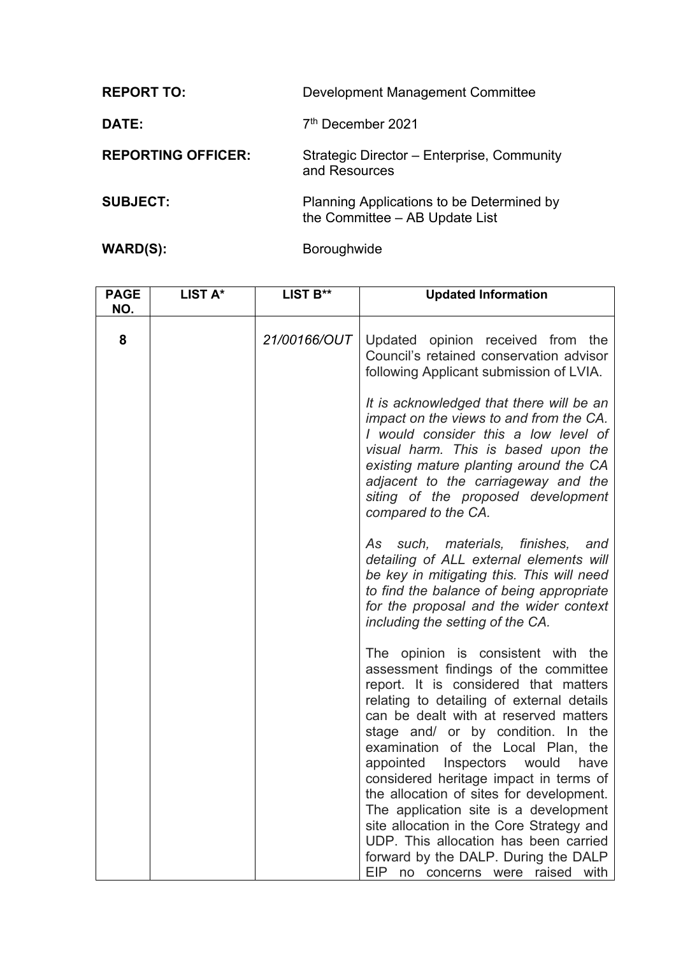| Development Management Committee                                            |
|-----------------------------------------------------------------------------|
| 7 <sup>th</sup> December 2021                                               |
| Strategic Director – Enterprise, Community<br>and Resources                 |
| Planning Applications to be Determined by<br>the Committee - AB Update List |
|                                                                             |

WARD(S): Boroughwide

| <b>PAGE</b><br>NO. | LIST A* | LIST B**     | <b>Updated Information</b>                                                                                                                                                                                                                                                                                                                                                                                                                                                                                                                                                                                                     |
|--------------------|---------|--------------|--------------------------------------------------------------------------------------------------------------------------------------------------------------------------------------------------------------------------------------------------------------------------------------------------------------------------------------------------------------------------------------------------------------------------------------------------------------------------------------------------------------------------------------------------------------------------------------------------------------------------------|
| 8                  |         | 21/00166/OUT | Updated opinion received from the<br>Council's retained conservation advisor<br>following Applicant submission of LVIA.                                                                                                                                                                                                                                                                                                                                                                                                                                                                                                        |
|                    |         |              | It is acknowledged that there will be an<br>impact on the views to and from the CA.<br>I would consider this a low level of<br>visual harm. This is based upon the<br>existing mature planting around the CA<br>adjacent to the carriageway and the<br>siting of the proposed development<br>compared to the CA.                                                                                                                                                                                                                                                                                                               |
|                    |         |              | As such, materials, finishes,<br>and<br>detailing of ALL external elements will<br>be key in mitigating this. This will need<br>to find the balance of being appropriate<br>for the proposal and the wider context<br>including the setting of the CA.                                                                                                                                                                                                                                                                                                                                                                         |
|                    |         |              | The opinion is consistent with the<br>assessment findings of the committee<br>report. It is considered that matters<br>relating to detailing of external details<br>can be dealt with at reserved matters<br>stage and/ or by condition. In the<br>examination of the Local Plan, the<br>appointed Inspectors would<br>have<br>considered heritage impact in terms of<br>the allocation of sites for development.<br>The application site is a development<br>site allocation in the Core Strategy and<br>UDP. This allocation has been carried<br>forward by the DALP. During the DALP<br>EIP no concerns were raised<br>with |